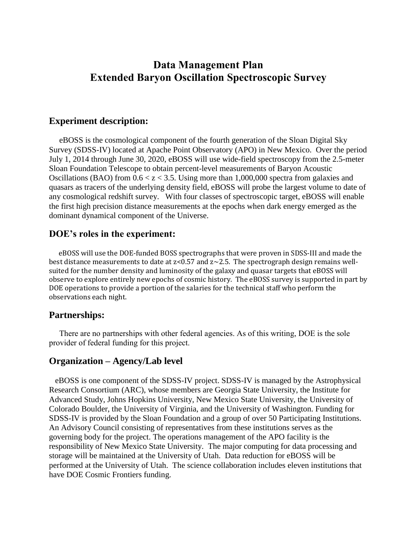# **Data Management Plan Extended Baryon Oscillation Spectroscopic Survey**

# **Experiment description:**

 eBOSS is the cosmological component of the fourth generation of the Sloan Digital Sky Survey (SDSS-IV) located at Apache Point Observatory (APO) in New Mexico. Over the period July 1, 2014 through June 30, 2020, eBOSS will use wide-field spectroscopy from the 2.5-meter Sloan Foundation Telescope to obtain percent-level measurements of Baryon Acoustic Oscillations (BAO) from  $0.6 < z < 3.5$ . Using more than 1,000,000 spectra from galaxies and quasars as tracers of the underlying density field, eBOSS will probe the largest volume to date of any cosmological redshift survey. With four classes of spectroscopic target, eBOSS will enable the first high precision distance measurements at the epochs when dark energy emerged as the dominant dynamical component of the Universe.

# **DOE's roles in the experiment:**

 eBOSS will use the DOE-funded BOSS spectrographs that were proven in SDSS-III and made the best distance measurements to date at  $z<0.57$  and  $z<2.5$ . The spectrograph design remains wellsuited for the number density and luminosity of the galaxy and quasar targets that eBOSS will observe to explore entirely new epochs of cosmic history. The eBOSS survey is supported in part by DOE operations to provide a portion of the salaries for the technical staff who perform the observations each night.

# **Partnerships:**

 There are no partnerships with other federal agencies. As of this writing, DOE is the sole provider of federal funding for this project.

# **Organization – Agency/Lab level**

 eBOSS is one component of the SDSS-IV project. SDSS-IV is managed by the Astrophysical Research Consortium (ARC), whose members are Georgia State University, the Institute for Advanced Study, Johns Hopkins University, New Mexico State University, the University of Colorado Boulder, the University of Virginia, and the University of Washington. Funding for SDSS-IV is provided by the Sloan Foundation and a group of over 50 Participating Institutions. An Advisory Council consisting of representatives from these institutions serves as the governing body for the project. The operations management of the APO facility is the responsibility of New Mexico State University. The major computing for data processing and storage will be maintained at the University of Utah. Data reduction for eBOSS will be performed at the University of Utah. The science collaboration includes eleven institutions that have DOE Cosmic Frontiers funding.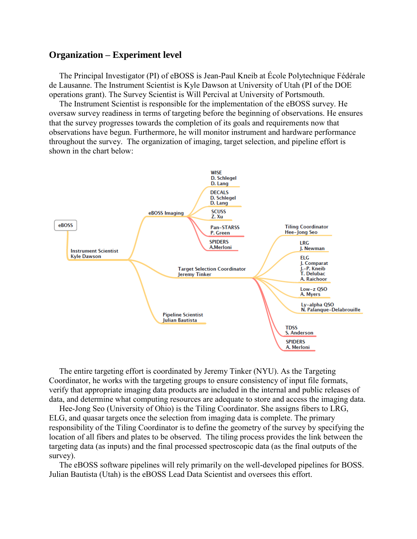# **Organization – Experiment level**

 The Principal Investigator (PI) of eBOSS is Jean-Paul Kneib at École Polytechnique Fédérale de Lausanne. The Instrument Scientist is Kyle Dawson at University of Utah (PI of the DOE operations grant). The Survey Scientist is Will Percival at University of Portsmouth.

 The Instrument Scientist is responsible for the implementation of the eBOSS survey. He oversaw survey readiness in terms of targeting before the beginning of observations. He ensures that the survey progresses towards the completion of its goals and requirements now that observations have begun. Furthermore, he will monitor instrument and hardware performance throughout the survey. The organization of imaging, target selection, and pipeline effort is shown in the chart below:



 The entire targeting effort is coordinated by Jeremy Tinker (NYU). As the Targeting Coordinator, he works with the targeting groups to ensure consistency of input file formats, verify that appropriate imaging data products are included in the internal and public releases of data, and determine what computing resources are adequate to store and access the imaging data.

 Hee-Jong Seo (University of Ohio) is the Tiling Coordinator. She assigns fibers to LRG, ELG, and quasar targets once the selection from imaging data is complete. The primary responsibility of the Tiling Coordinator is to define the geometry of the survey by specifying the location of all fibers and plates to be observed. The tiling process provides the link between the targeting data (as inputs) and the final processed spectroscopic data (as the final outputs of the survey).

 The eBOSS software pipelines will rely primarily on the well-developed pipelines for BOSS. Julian Bautista (Utah) is the eBOSS Lead Data Scientist and oversees this effort.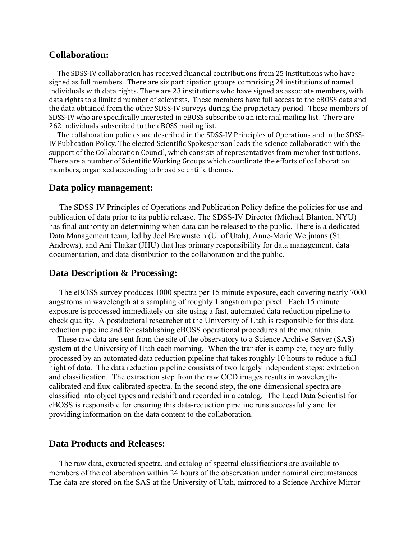## **Collaboration:**

 The SDSS-IV collaboration has received financial contributions from 25 institutions who have signed as full members. There are six participation groups comprising 24 institutions of named individuals with data rights. There are 23 institutions who have signed as associate members, with data rights to a limited number of scientists. These members have full access to the eBOSS data and the data obtained from the other SDSS-IV surveys during the proprietary period. Those members of SDSS-IV who are specifically interested in eBOSS subscribe to an internal mailing list. There are 262 individuals subscribed to the eBOSS mailing list.

 The collaboration policies are described in the SDSS-IV Principles of Operations and in the SDSS-IV Publication Policy. The elected Scientific Spokesperson leads the science collaboration with the support of the Collaboration Council, which consists of representatives from member institutions. There are a number of Scientific Working Groups which coordinate the efforts of collaboration members, organized according to broad scientific themes.

#### **Data policy management:**

 The SDSS-IV Principles of Operations and Publication Policy define the policies for use and publication of data prior to its public release. The SDSS-IV Director (Michael Blanton, NYU) has final authority on determining when data can be released to the public. There is a dedicated Data Management team, led by Joel Brownstein (U. of Utah), Anne-Marie Weijmans (St. Andrews), and Ani Thakar (JHU) that has primary responsibility for data management, data documentation, and data distribution to the collaboration and the public.

# **Data Description & Processing:**

 The eBOSS survey produces 1000 spectra per 15 minute exposure, each covering nearly 7000 angstroms in wavelength at a sampling of roughly 1 angstrom per pixel. Each 15 minute exposure is processed immediately on-site using a fast, automated data reduction pipeline to check quality. A postdoctoral researcher at the University of Utah is responsible for this data reduction pipeline and for establishing eBOSS operational procedures at the mountain.

 These raw data are sent from the site of the observatory to a Science Archive Server (SAS) system at the University of Utah each morning. When the transfer is complete, they are fully processed by an automated data reduction pipeline that takes roughly 10 hours to reduce a full night of data. The data reduction pipeline consists of two largely independent steps: extraction and classification. The extraction step from the raw CCD images results in wavelengthcalibrated and flux-calibrated spectra. In the second step, the one-dimensional spectra are classified into object types and redshift and recorded in a catalog. The Lead Data Scientist for eBOSS is responsible for ensuring this data-reduction pipeline runs successfully and for providing information on the data content to the collaboration.

#### **Data Products and Releases:**

 The raw data, extracted spectra, and catalog of spectral classifications are available to members of the collaboration within 24 hours of the observation under nominal circumstances. The data are stored on the SAS at the University of Utah, mirrored to a Science Archive Mirror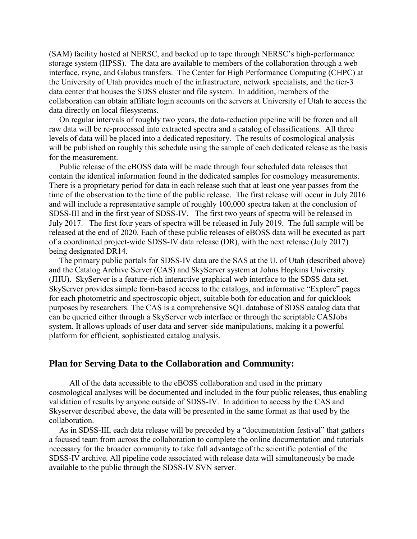(SAM) facility hosted at NERSC, and backed up to tape through NERSC's high-performance storage system (HPSS). The data are available to members of the collaboration through a web interface, rsync, and Globus transfers. The Center for High Performance Computing (CHPC) at the University of Utah provides much of the infrastructure, network specialists, and the tier-3 data center that houses the SDSS cluster and file system. In addition, members of the collaboration can obtain affiliate login accounts on the servers at University of Utah to access the data directly on local filesystems.

 On regular intervals of roughly two years, the data-reduction pipeline will be frozen and all raw data will be re-processed into extracted spectra and a catalog of classifications. All three levels of data will be placed into a dedicated repository. The results of cosmological analysis will be published on roughly this schedule using the sample of each dedicated release as the basis for the measurement.

 Public release of the eBOSS data will be made through four scheduled data releases that contain the identical information found in the dedicated samples for cosmology measurements. There is a proprietary period for data in each release such that at least one year passes from the time of the observation to the time of the public release. The first release will occur in July 2016 and will include a representative sample of roughly 100,000 spectra taken at the conclusion of SDSS-III and in the first year of SDSS-IV. The first two years of spectra will be released in July 2017. The first four years of spectra will be released in July 2019. The full sample will be released at the end of 2020. Each of these public releases of eBOSS data will be executed as part of a coordinated project-wide SDSS-IV data release (DR), with the next release (July 2017) being designated DR14.

 The primary public portals for SDSS-IV data are the SAS at the U. of Utah (described above) and the Catalog Archive Server (CAS) and SkyServer system at Johns Hopkins University (JHU). SkyServer is a feature-rich interactive graphical web interface to the SDSS data set. SkyServer provides simple form-based access to the catalogs, and informative "Explore" pages for each photometric and spectroscopic object, suitable both for education and for quicklook purposes by researchers. The CAS is a comprehensive SQL database of SDSS catalog data that can be queried either through a SkyServer web interface or through the scriptable CASJobs system. It allows uploads of user data and server-side manipulations, making it a powerful platform for efficient, sophisticated catalog analysis.

# **Plan for Serving Data to the Collaboration and Community:**

 All of the data accessible to the eBOSS collaboration and used in the primary cosmological analyses will be documented and included in the four public releases, thus enabling validation of results by anyone outside of SDSS-IV. In addition to access by the CAS and Skyserver described above, the data will be presented in the same format as that used by the collaboration.

 As in SDSS-III, each data release will be preceded by a "documentation festival" that gathers a focused team from across the collaboration to complete the online documentation and tutorials necessary for the broader community to take full advantage of the scientific potential of the SDSS-IV archive. All pipeline code associated with release data will simultaneously be made available to the public through the SDSS-IV SVN server.